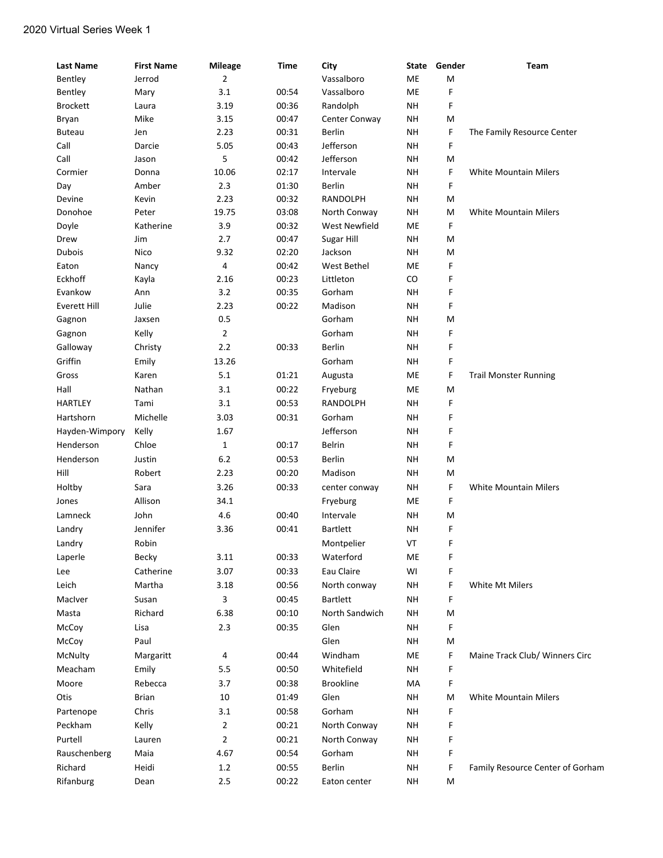## 2020 Virtual Series Week 1

| <b>Last Name</b> | <b>First Name</b> | <b>Mileage</b> | <b>Time</b> | City             | State     | Gender | <b>Team</b>                      |
|------------------|-------------------|----------------|-------------|------------------|-----------|--------|----------------------------------|
| Bentley          | Jerrod            | 2              |             | Vassalboro       | ME        | M      |                                  |
| Bentley          | Mary              | 3.1            | 00:54       | Vassalboro       | ME        | F      |                                  |
| <b>Brockett</b>  | Laura             | 3.19           | 00:36       | Randolph         | <b>NH</b> | F      |                                  |
| Bryan            | Mike              | 3.15           | 00:47       | Center Conway    | <b>NH</b> | M      |                                  |
| <b>Buteau</b>    | Jen               | 2.23           | 00:31       | Berlin           | NΗ        | F      | The Family Resource Center       |
| Call             | Darcie            | 5.05           | 00:43       | Jefferson        | NΗ        | F      |                                  |
| Call             | Jason             | 5              | 00:42       | Jefferson        | NΗ        | M      |                                  |
| Cormier          | Donna             | 10.06          | 02:17       | Intervale        | NΗ        | F      | <b>White Mountain Milers</b>     |
| Day              | Amber             | 2.3            | 01:30       | <b>Berlin</b>    | NΗ        | F      |                                  |
| Devine           | Kevin             | 2.23           | 00:32       | RANDOLPH         | NΗ        | M      |                                  |
| Donohoe          | Peter             | 19.75          | 03:08       | North Conway     | <b>NH</b> | M      | <b>White Mountain Milers</b>     |
| Doyle            | Katherine         | 3.9            | 00:32       | West Newfield    | ME        | F      |                                  |
| Drew             | Jim               | 2.7            | 00:47       | Sugar Hill       | <b>NH</b> | M      |                                  |
| <b>Dubois</b>    | Nico              | 9.32           | 02:20       | Jackson          | NΗ        | M      |                                  |
| Eaton            | Nancy             | 4              | 00:42       | West Bethel      | ME        | F      |                                  |
| Eckhoff          | Kayla             | 2.16           | 00:23       | Littleton        | CO        | F      |                                  |
| Evankow          | Ann               | 3.2            | 00:35       | Gorham           | <b>NH</b> | F      |                                  |
| Everett Hill     | Julie             | 2.23           | 00:22       | Madison          | NΗ        | F      |                                  |
| Gagnon           | Jaxsen            | 0.5            |             | Gorham           | NΗ        | M      |                                  |
| Gagnon           | Kelly             | 2              |             | Gorham           | <b>NH</b> | F      |                                  |
| Galloway         | Christy           | 2.2            | 00:33       | Berlin           | NΗ        | F      |                                  |
| Griffin          | Emily             | 13.26          |             | Gorham           | NΗ        | F      |                                  |
| Gross            | Karen             | 5.1            | 01:21       | Augusta          | ME        | F      | <b>Trail Monster Running</b>     |
| Hall             | Nathan            | 3.1            | 00:22       | Fryeburg         | ME        | M      |                                  |
| <b>HARTLEY</b>   | Tami              | 3.1            | 00:53       | RANDOLPH         | <b>NH</b> | F      |                                  |
| Hartshorn        | Michelle          | 3.03           | 00:31       | Gorham           | <b>NH</b> | F      |                                  |
| Hayden-Wimpory   | Kelly             | 1.67           |             | Jefferson        | NΗ        | F      |                                  |
| Henderson        | Chloe             | $\mathbf{1}$   | 00:17       | Belrin           | NΗ        | F      |                                  |
| Henderson        | Justin            | 6.2            | 00:53       | Berlin           | NΗ        | M      |                                  |
| Hill             | Robert            | 2.23           | 00:20       | Madison          | NΗ        | M      |                                  |
| Holtby           | Sara              | 3.26           | 00:33       | center conway    | <b>NH</b> | F      | <b>White Mountain Milers</b>     |
| Jones            | Allison           | 34.1           |             | Fryeburg         | ME        | F      |                                  |
| Lamneck          | John              | 4.6            | 00:40       | Intervale        | <b>NH</b> | M      |                                  |
| Landry           | Jennifer          | 3.36           | 00:41       | <b>Bartlett</b>  | NΗ        | F      |                                  |
| Landry           | Robin             |                |             | Montpelier       | VT        | F      |                                  |
| Laperle          | Becky             | 3.11           | 00:33       | Waterford        | ME        | F      |                                  |
| Lee              | Catherine         | 3.07           | 00:33       | Eau Claire       | WI        | F      |                                  |
| Leich            | Martha            | 3.18           | 00:56       | North conway     | <b>NH</b> | F      | White Mt Milers                  |
| MacIver          | Susan             | 3              | 00:45       | <b>Bartlett</b>  | <b>NH</b> | F      |                                  |
| Masta            | Richard           | 6.38           | 00:10       | North Sandwich   | <b>NH</b> | M      |                                  |
| McCoy            | Lisa              | 2.3            | 00:35       | Glen             | <b>NH</b> | F      |                                  |
| McCoy            | Paul              |                |             | Glen             | <b>NH</b> | M      |                                  |
| McNulty          | Margaritt         | 4              | 00:44       | Windham          | ME        | F      | Maine Track Club/ Winners Circ   |
| Meacham          | Emily             | 5.5            | 00:50       | Whitefield       | <b>NH</b> | F      |                                  |
| Moore            | Rebecca           | 3.7            | 00:38       | <b>Brookline</b> | MA        | F      |                                  |
| Otis             | <b>Brian</b>      | 10             | 01:49       | Glen             | NH        | M      | <b>White Mountain Milers</b>     |
| Partenope        | Chris             | 3.1            | 00:58       | Gorham           | <b>NH</b> | F      |                                  |
| Peckham          | Kelly             | 2              | 00:21       | North Conway     | <b>NH</b> | F      |                                  |
| Purtell          |                   | 2              | 00:21       |                  | <b>NH</b> | F      |                                  |
|                  | Lauren            |                |             | North Conway     |           |        |                                  |
| Rauschenberg     | Maia              | 4.67           | 00:54       | Gorham           | <b>NH</b> | F      |                                  |
| Richard          | Heidi             | 1.2            | 00:55       | Berlin           | <b>NH</b> | F      | Family Resource Center of Gorham |
| Rifanburg        | Dean              | 2.5            | 00:22       | Eaton center     | <b>NH</b> | M      |                                  |